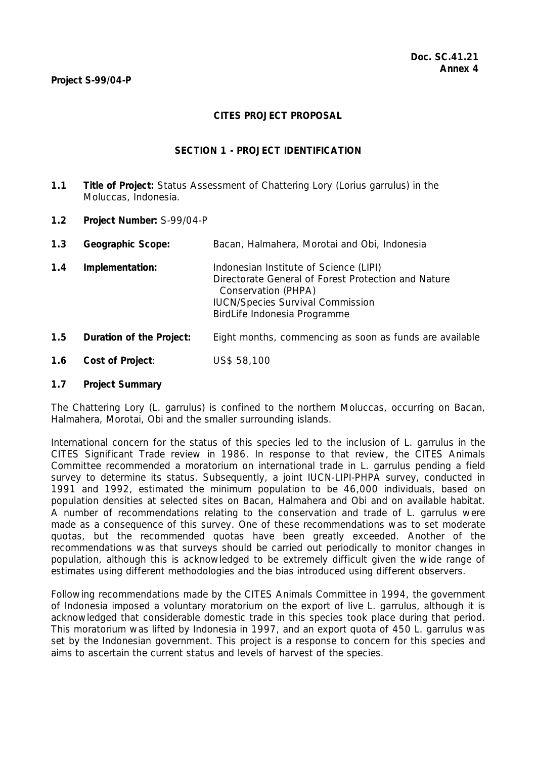## **CITES PROJECT PROPOSAL**

## **SECTION 1 - PROJECT IDENTIFICATION**

- **1.1 Title of Project:** Status Assessment of Chattering Lory (*Lorius garrulus*) in the Moluccas, Indonesia.
- **1.2 Project Number:** S-99/04-P
- **1.3 Geographic Scope:** Bacan, Halmahera, Morotai and Obi, Indonesia
- **1.4 Implementation:** Indonesian Institute of Science (LIPI) Directorate General of Forest Protection and Nature Conservation (PHPA) IUCN/Species Survival Commission BirdLife Indonesia Programme
- **1.5 Duration of the Project:** Eight months, commencing as soon as funds are available
- **1.6 Cost of Project**: US\$ 58,100

## **1.7 Project Summary**

The Chattering Lory (*L. garrulus*) is confined to the northern Moluccas, occurring on Bacan, Halmahera, Morotai, Obi and the smaller surrounding islands.

International concern for the status of this species led to the inclusion of *L. garrulus* in the CITES Significant Trade review in 1986. In response to that review, the CITES Animals Committee recommended a moratorium on international trade in *L. garrulus* pending a field survey to determine its status. Subsequently, a joint IUCN-LIPI-PHPA survey, conducted in 1991 and 1992, estimated the minimum population to be 46,000 individuals, based on population densities at selected sites on Bacan, Halmahera and Obi and on available habitat. A number of recommendations relating to the conservation and trade of *L. garrulus* were made as a consequence of this survey. One of these recommendations was to set moderate quotas, but the recommended quotas have been greatly exceeded. Another of the recommendations was that surveys should be carried out periodically to monitor changes in population, although this is acknowledged to be extremely difficult given the wide range of estimates using different methodologies and the bias introduced using different observers.

Following recommendations made by the CITES Animals Committee in 1994, the government of Indonesia imposed a voluntary moratorium on the export of live *L. garrulus*, although it is acknowledged that considerable domestic trade in this species took place during that period. This moratorium was lifted by Indonesia in 1997, and an export quota of 450 *L. garrulus* was set by the Indonesian government. This project is a response to concern for this species and aims to ascertain the current status and levels of harvest of the species.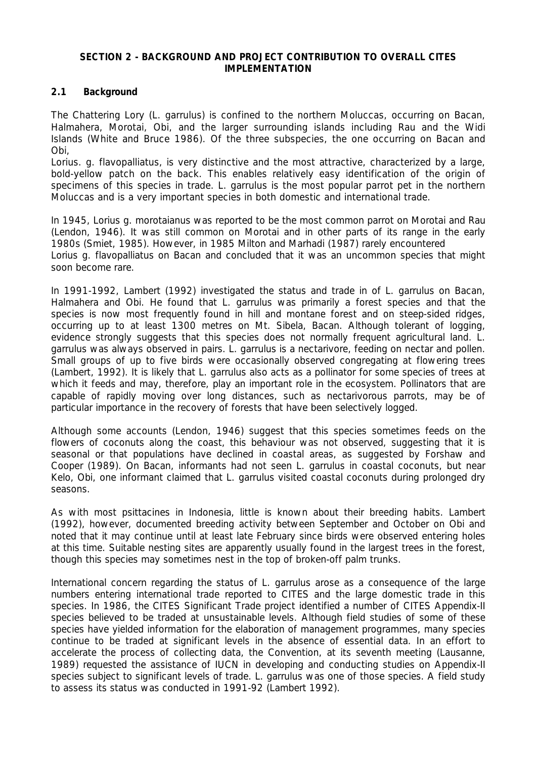#### **SECTION 2 - BACKGROUND AND PROJECT CONTRIBUTION TO OVERALL CITES IMPI FMENTATION**

## **2.1 Background**

The Chattering Lory (*L. garrulus*) is confined to the northern Moluccas, occurring on Bacan, Halmahera, Morotai, Obi, and the larger surrounding islands including Rau and the Widi Islands (White and Bruce 1986). Of the three subspecies, the one occurring on Bacan and Obi,

*Lorius. g. flavopalliatus*, is very distinctive and the most attractive, characterized by a large, bold-yellow patch on the back. This enables relatively easy identification of the origin of specimens of this species in trade. *L. garrulus* is the most popular parrot pet in the northern Moluccas and is a very important species in both domestic and international trade.

In 1945, *Lorius g. morotaianus* was reported to be the most common parrot on Morotai and Rau (Lendon, 1946). It was still common on Morotai and in other parts of its range in the early 1980s (Smiet, 1985). However, in 1985 Milton and Marhadi (1987) rarely encountered *Lorius g. flavopalliatus* on Bacan and concluded that it was an uncommon species that might soon become rare.

In 1991-1992, Lambert (1992) investigated the status and trade in of *L. garrulus* on Bacan, Halmahera and Obi. He found that *L. garrulus* was primarily a forest species and that the species is now most frequently found in hill and montane forest and on steep-sided ridges, occurring up to at least 1300 metres on Mt. Sibela, Bacan. Although tolerant of logging, evidence strongly suggests that this species does not normally frequent agricultural land. *L. garrulus* was always observed in pairs. *L. garrulus* is a nectarivore, feeding on nectar and pollen. Small groups of up to five birds were occasionally observed congregating at flowering trees (Lambert, 1992). It is likely that *L. garrulus* also acts as a pollinator for some species of trees at which it feeds and may, therefore, play an important role in the ecosystem. Pollinators that are capable of rapidly moving over long distances, such as nectarivorous parrots, may be of particular importance in the recovery of forests that have been selectively logged.

Although some accounts (Lendon, 1946) suggest that this species sometimes feeds on the flowers of coconuts along the coast, this behaviour was not observed, suggesting that it is seasonal or that populations have declined in coastal areas, as suggested by Forshaw and Cooper (1989). On Bacan, informants had not seen *L. garrulus* in coastal coconuts, but near Kelo, Obi, one informant claimed that *L. garrulus* visited coastal coconuts during prolonged dry seasons.

As with most psittacines in Indonesia, little is known about their breeding habits. Lambert (1992), however, documented breeding activity between September and October on Obi and noted that it may continue until at least late February since birds were observed entering holes at this time. Suitable nesting sites are apparently usually found in the largest trees in the forest, though this species may sometimes nest in the top of broken-off palm trunks.

International concern regarding the status of *L. garrulus* arose as a consequence of the large numbers entering international trade reported to CITES and the large domestic trade in this species. In 1986, the CITES Significant Trade project identified a number of CITES Appendix-II species believed to be traded at unsustainable levels. Although field studies of some of these species have yielded information for the elaboration of management programmes, many species continue to be traded at significant levels in the absence of essential data. In an effort to accelerate the process of collecting data, the Convention, at its seventh meeting (Lausanne, 1989) requested the assistance of IUCN in developing and conducting studies on Appendix-II species subject to significant levels of trade. *L. garrulus* was one of those species. A field study to assess its status was conducted in 1991-92 (Lambert 1992).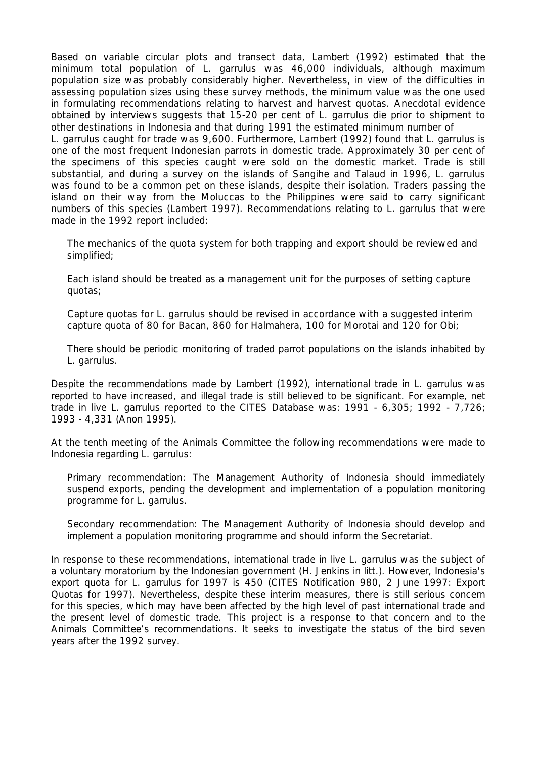Based on variable circular plots and transect data, Lambert (1992) estimated that the minimum total population of *L. garrulus* was 46,000 individuals, although maximum population size was probably considerably higher. Nevertheless, in view of the difficulties in assessing population sizes using these survey methods, the minimum value was the one used in formulating recommendations relating to harvest and harvest quotas. Anecdotal evidence obtained by interviews suggests that 15-20 per cent of *L. garrulus* die prior to shipment to other destinations in Indonesia and that during 1991 the estimated minimum number of *L. garrulus* caught for trade was 9,600. Furthermore, Lambert (1992) found that *L. garrulus* is one of the most frequent Indonesian parrots in domestic trade. Approximately 30 per cent of the specimens of this species caught were sold on the domestic market. Trade is still substantial, and during a survey on the islands of Sangihe and Talaud in 1996, *L. garrulus* was found to be a common pet on these islands, despite their isolation. Traders passing the island on their way from the Moluccas to the Philippines were said to carry significant numbers of this species (Lambert 1997). Recommendations relating to *L. garrulus* that were made in the 1992 report included:

 The mechanics of the quota system for both trapping and export should be reviewed and simplified;

 Each island should be treated as a management unit for the purposes of setting capture quotas;

 Capture quotas for *L. garrulus* should be revised in accordance with a suggested interim capture quota of 80 for Bacan, 860 for Halmahera, 100 for Morotai and 120 for Obi;

 There should be periodic monitoring of traded parrot populations on the islands inhabited by *L. garrulus*.

Despite the recommendations made by Lambert (1992), international trade in *L. garrulus* was reported to have increased, and illegal trade is still believed to be significant. For example, net trade in live *L. garrulus* reported to the CITES Database was: 1991 - 6,305; 1992 - 7,726; 1993 - 4,331 (Anon 1995).

At the tenth meeting of the Animals Committee the following recommendations were made to Indonesia regarding *L. garrulus*:

 Primary recommendation: The Management Authority of Indonesia should immediately suspend exports, pending the development and implementation of a population monitoring programme for *L. garrulus.*

 Secondary recommendation: The Management Authority of Indonesia should develop and implement a population monitoring programme and should inform the Secretariat.

In response to these recommendations, international trade in live *L. garrulus* was the subject of a voluntary moratorium by the Indonesian government (H. Jenkins *in litt*.). However, Indonesia's export quota for *L. garrulus* for 1997 is 450 (CITES Notification 980, 2 June 1997: Export Quotas for 1997). Nevertheless, despite these interim measures, there is still serious concern for this species, which may have been affected by the high level of past international trade and the present level of domestic trade. This project is a response to that concern and to the Animals Committee's recommendations. It seeks to investigate the status of the bird seven years after the 1992 survey.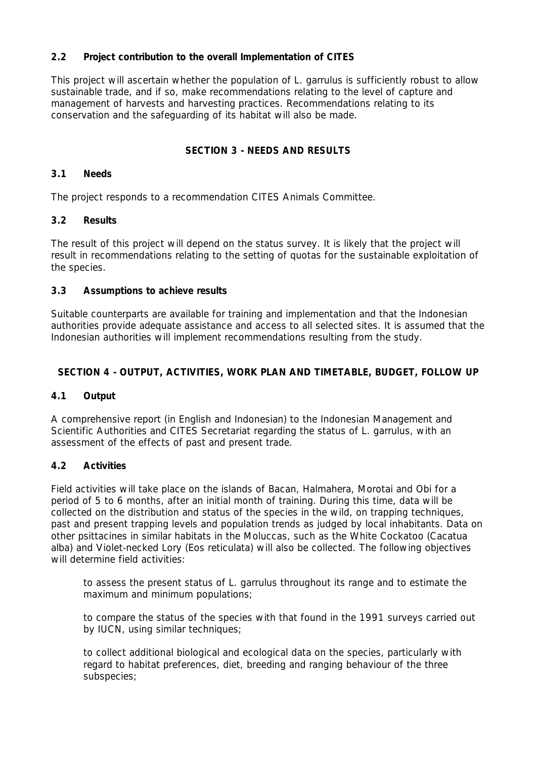# **2.2 Project contribution to the overall Implementation of CITES**

This project will ascertain whether the population of *L. garrulus* is sufficiently robust to allow sustainable trade, and if so, make recommendations relating to the level of capture and management of harvests and harvesting practices. Recommendations relating to its conservation and the safeguarding of its habitat will also be made.

## **SECTION 3 - NEEDS AND RESULTS**

### **3.1 Needs**

The project responds to a recommendation CITES Animals Committee.

## **3.2 Results**

The result of this project will depend on the status survey. It is likely that the project will result in recommendations relating to the setting of quotas for the sustainable exploitation of the species.

## **3.3 Assumptions to achieve results**

Suitable counterparts are available for training and implementation and that the Indonesian authorities provide adequate assistance and access to all selected sites. It is assumed that the Indonesian authorities will implement recommendations resulting from the study.

## **SECTION 4 - OUTPUT, ACTIVITIES, WORK PLAN AND TIMETABLE, BUDGET, FOLLOW UP**

## **4.1 Output**

A comprehensive report (in English and Indonesian) to the Indonesian Management and Scientific Authorities and CITES Secretariat regarding the status of *L. garrulus,* with an assessment of the effects of past and present trade.

## **4.2 Activities**

Field activities will take place on the islands of Bacan, Halmahera, Morotai and Obi for a period of 5 to 6 months, after an initial month of training. During this time, data will be collected on the distribution and status of the species in the wild, on trapping techniques, past and present trapping levels and population trends as judged by local inhabitants. Data on other psittacines in similar habitats in the Moluccas, such as the White Cockatoo (*Cacatua alba*) and Violet-necked Lory (*Eos reticulata*) will also be collected. The following objectives will determine field activities:

 to assess the present status of *L. garrulus* throughout its range and to estimate the maximum and minimum populations;

 to compare the status of the species with that found in the 1991 surveys carried out by IUCN, using similar techniques;

 to collect additional biological and ecological data on the species, particularly with regard to habitat preferences, diet, breeding and ranging behaviour of the three subspecies;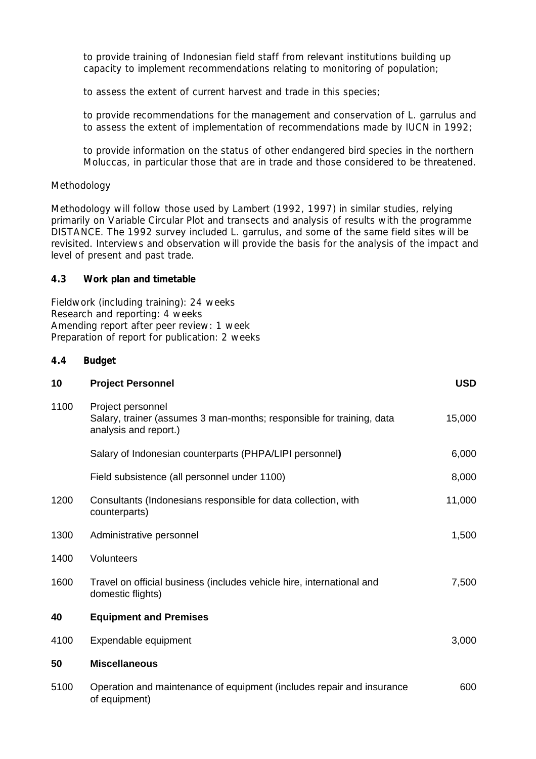to provide training of Indonesian field staff from relevant institutions building up capacity to implement recommendations relating to monitoring of population;

to assess the extent of current harvest and trade in this species;

 to provide recommendations for the management and conservation of *L. garrulus* and to assess the extent of implementation of recommendations made by IUCN in 1992;

 to provide information on the status of other endangered bird species in the northern Moluccas, in particular those that are in trade and those considered to be threatened.

## *Methodology*

Methodology will follow those used by Lambert (1992, 1997) in similar studies, relying primarily on Variable Circular Plot and transects and analysis of results with the programme DISTANCE. The 1992 survey included *L. garrulus,* and some of the same field sites will be revisited. Interviews and observation will provide the basis for the analysis of the impact and level of present and past trade.

## **4.3 Work plan and timetable**

Fieldwork (including training): 24 weeks Research and reporting: 4 weeks Amending report after peer review: 1 week Preparation of report for publication: 2 weeks

## **4.4 Budget**

| 10   | <b>Project Personnel</b>                                                                                            | <b>USD</b> |
|------|---------------------------------------------------------------------------------------------------------------------|------------|
| 1100 | Project personnel<br>Salary, trainer (assumes 3 man-months; responsible for training, data<br>analysis and report.) | 15,000     |
|      | Salary of Indonesian counterparts (PHPA/LIPI personnel)                                                             | 6,000      |
|      | Field subsistence (all personnel under 1100)                                                                        | 8,000      |
| 1200 | Consultants (Indonesians responsible for data collection, with<br>counterparts)                                     | 11,000     |
| 1300 | Administrative personnel                                                                                            | 1,500      |
| 1400 | Volunteers                                                                                                          |            |
| 1600 | Travel on official business (includes vehicle hire, international and<br>domestic flights)                          | 7,500      |
| 40   | <b>Equipment and Premises</b>                                                                                       |            |
| 4100 | Expendable equipment                                                                                                | 3,000      |
| 50   | <b>Miscellaneous</b>                                                                                                |            |
| 5100 | Operation and maintenance of equipment (includes repair and insurance<br>of equipment)                              | 600        |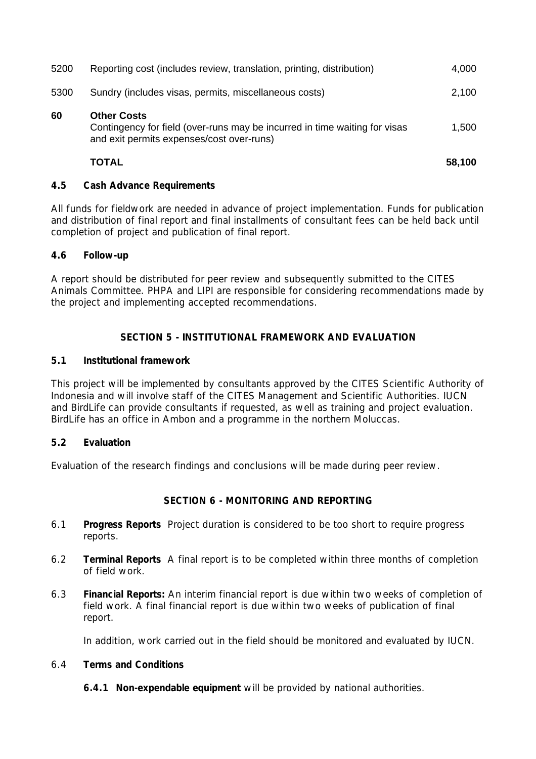|      | <b>TOTAL</b>                                                                                                                                  | 58,100 |
|------|-----------------------------------------------------------------------------------------------------------------------------------------------|--------|
| 60   | <b>Other Costs</b><br>Contingency for field (over-runs may be incurred in time waiting for visas<br>and exit permits expenses/cost over-runs) | 1,500  |
| 5300 | Sundry (includes visas, permits, miscellaneous costs)                                                                                         | 2,100  |
| 5200 | Reporting cost (includes review, translation, printing, distribution)                                                                         | 4,000  |

## **4.5 Cash Advance Requirements**

All funds for fieldwork are needed in advance of project implementation. Funds for publication and distribution of final report and final installments of consultant fees can be held back until completion of project and publication of final report.

## **4.6 Follow-up**

A report should be distributed for peer review and subsequently submitted to the CITES Animals Committee. PHPA and LIPI are responsible for considering recommendations made by the project and implementing accepted recommendations.

## **SECTION 5 - INSTITUTIONAL FRAMEWORK AND EVALUATION**

#### **5.1 Institutional framework**

This project will be implemented by consultants approved by the CITES Scientific Authority of Indonesia and will involve staff of the CITES Management and Scientific Authorities. IUCN and BirdLife can provide consultants if requested, as well as training and project evaluation. BirdLife has an office in Ambon and a programme in the northern Moluccas.

## **5.2 Evaluation**

Evaluation of the research findings and conclusions will be made during peer review.

## **SECTION 6 - MONITORING AND REPORTING**

- 6.1 **Progress Reports** Project duration is considered to be too short to require progress reports.
- 6.2 **Terminal Reports** A final report is to be completed within three months of completion of field work.
- 6.3 **Financial Reports:** An interim financial report is due within two weeks of completion of field work. A final financial report is due within two weeks of publication of final report.

In addition, work carried out in the field should be monitored and evaluated by IUCN.

#### 6.4 **Terms and Conditions**

 **6.4.1 Non-expendable equipment** will be provided by national authorities.